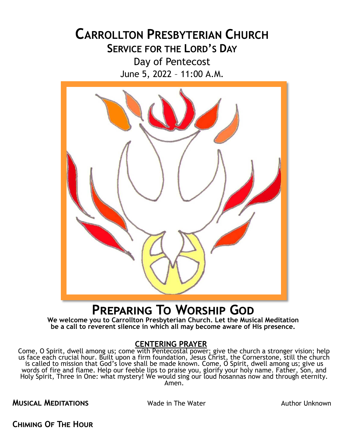# **CARROLLTON PRESBYTERIAN CHURCH SERVICE FOR THE LORD'S DAY** Day of Pentecost June 5, 2022 – 11:00 A.M.



# **Preparing To Worship God**

**We welcome you to Carrollton Presbyterian Church. Let the Musical Meditation be a call to reverent silence in which all may become aware of His presence.**

### **CENTERING PRAYER**

Come, O Spirit, dwell among us; come with Pentecostal power; give the church a stronger vision; help us face each crucial hour. Built upon a firm foundation, Jesus Christ, the Cornerstone, still the church is called to mission that God's love shall be made known. Come, O Spirit, dwell among us; give us words of fire and flame. Help our feeble lips to praise you, glorify your holy name. Father, Son, and Holy Spirit, Three in One: what mystery! We would sing our loud hosannas now and through eternity. Amen.

**MUSICAL MEDITATIONS** Wade in The Water **Author Unknown** 

**Chiming Of The Hour**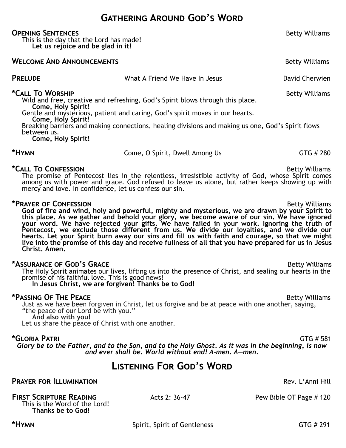### **Gathering Around God's Word**

#### **OPENING SENTENCES BETTENCES BETTENCES BETTENCES BETTENCES BETTENCES BETTENCES**

This is the day that the Lord has made! **Let us rejoice and be glad in it!**

#### **WELCOME AND ANNOUNCEMENTS Betty Williams**

**PRELUDE** The State of What A Friend We Have In Jesus The Chavid Cherwien

\*Call To WorsHIP **All and Section 2018 Betty Williams Betty Williams** Wild and free, creative and refreshing, God's Spirit blows through this place. **Come, Holy Spirit!**

Gentle and mysterious, patient and caring, God's spirit moves in our hearts.

**Come, Holy Spirit!**

Breaking barriers and making connections, healing divisions and making us one, God's Spirit flows between us.

**Come, Holy Spirit!**

\*HYMN **EXECUTE:** Come, O Spirit, Dwell Among Us GTG # 280

### \*Call To Confession **by the Confession Betty Williams Betty Williams**

The promise of Pentecost lies in the relentless, irresistible activity of God, whose Spirit comes among us with power and grace. God refused to leave us alone, but rather keeps showing up with mercy and love. In confidence, let us confess our sin.

### **\*Prayer of Confession** Betty Williams

**God of fire and wind, holy and powerful, mighty and mysterious, we are drawn by your Spirit to this place. As we gather and behold your glory, we become aware of our sin. We have ignored your word. We have rejected your gifts. We have failed in your work. Ignoring the truth of Pentecost, we exclude those different from us. We divide our loyalties, and we divide our hearts. Let your Spirit burn away our sins and fill us with faith and courage, so that we might live into the promise of this day and receive fullness of all that you have prepared for us in Jesus Christ. Amen.**

### **\*ASSURANCE OF GOD'S GRACE BETT ASSURANCE OF GOD'S GRACE BETT ASSURANCE OF GOD'S GRACE**

The Holy Spirit animates our lives, lifting us into the presence of Christ, and sealing our hearts in the promise of his faithful love. This is good news! **In Jesus Christ, we are forgiven! Thanks be to God!**

### **\*Passing OF THE PEACE Betty Williams**

Just as we have been forgiven in Christ, let us forgive and be at peace with one another, saying, "the peace of our Lord be with you."

**And also with you!**

Let us share the peace of Christ with one another.

### **\*Gloria Patri** GTG # 581

*Glory be to the Father, and to the Son, and to the Holy Ghost. As it was in the beginning, is now and ever shall be. World without end! A-men. A—men.*

### **Listening For God's Word**

### **PRAYER FOR ILLUMINATION Rev. L'Anni Hill**

#### **FIRST SCRIPTURE READING** Acts 2: 36-47 Pew Bible OT Page # 120

This is the Word of the Lord! **Thanks be to God!**

**\*Hymn** Spirit, Spirit of Gentleness GTG # 291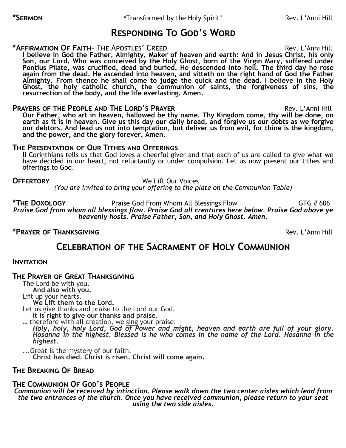## **Responding To God's Word**

### **\*AFFIRMATION OF FAITH-** THE APOSTLES' CREED Rev. L'Anni Hill

**I believe in God the Father, Almighty, Maker of heaven and earth: And in Jesus Christ, his only Son, our Lord. Who was conceived by the Holy Ghost, born of the Virgin Mary, suffered under Pontius Pilate, was crucified, dead and buried. He descended into hell. The third day he rose again from the dead. He ascended into heaven, and sitteth on the right hand of God the Father Almighty. From thence he shall come to judge the quick and the dead. I believe in the Holy**  Ghost, the holy catholic church, the communion of saints, the forgiveness of sins, the **resurrection of the body, and the life everlasting. Amen.**

### **PRAYERS OF THE PEOPLE AND THE LORD'S PRAYER <b>EXAMPLE 2008** Rev. L'Anni Hill

**Our Father, who art in heaven, hallowed be thy name. Thy Kingdom come, thy will be done, on earth as it is in heaven. Give us this day our daily bread, and forgive us our debts as we forgive our debtors. And lead us not into temptation, but deliver us from evil, for thine is the kingdom, and the power, and the glory forever. Amen.**

### **The Presentation of Our Tithes and Offerings**

II Corinthians tells us that God loves a cheerful giver and that each of us are called to give what we have decided in our heart, not reluctantly or under compulsion. Let us now present our tithes and offerings to God.

**Offertory** We Lift Our Voices

*(You are invited to bring your offering to the plate on the Communion Table)*

\*THE DOXOLOGY **Praise God From Whom All Blessings Flow** GTG # 606 *Praise God from whom all blessings flow. Praise God all creatures here below. Praise God above ye heavenly hosts. Praise Father, Son, and Holy Ghost. Amen.*

### **\*Prayer of Thanksgiving** Rev. L'Anni Hill

### **Celebration of the Sacrament of Holy Communion**

### **Invitation**

### **The Prayer of Great Thanksgiving**

The Lord be with you. **And also with you.** Lift up your hearts.

**We Lift them to the Lord.**

Let us give thanks and praise to the Lord our God. **It is right to give our thanks and praise.**

... therefore with all creation, we sing your praise:

*Holy, holy, holy Lord, God of Power and might, heaven and earth are full of your glory. Hosanna in the highest. Blessed is he who comes in the name of the Lord. Hosanna in the highest.*

...Great is the mystery of our faith: **Christ has died. Christ is risen. Christ will come again.**

### **The Breaking Of Bread**

### **The Communion Of God's People**

*Communion will be received by intinction. Please walk down the two center aisles which lead from the two entrances of the church. Once you have received communion, please return to your seat using the two side aisles.*